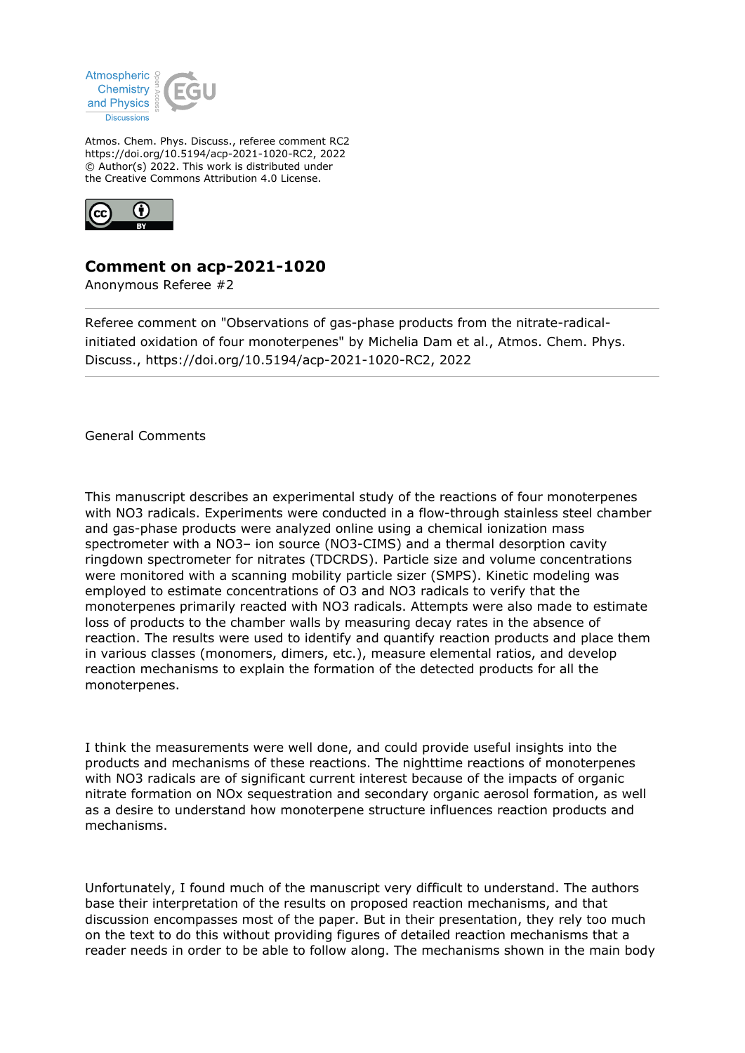

Atmos. Chem. Phys. Discuss., referee comment RC2 https://doi.org/10.5194/acp-2021-1020-RC2, 2022 © Author(s) 2022. This work is distributed under the Creative Commons Attribution 4.0 License.



## **Comment on acp-2021-1020**

Anonymous Referee #2

Referee comment on "Observations of gas-phase products from the nitrate-radicalinitiated oxidation of four monoterpenes" by Michelia Dam et al., Atmos. Chem. Phys. Discuss., https://doi.org/10.5194/acp-2021-1020-RC2, 2022

General Comments

This manuscript describes an experimental study of the reactions of four monoterpenes with NO3 radicals. Experiments were conducted in a flow-through stainless steel chamber and gas-phase products were analyzed online using a chemical ionization mass spectrometer with a NO3– ion source (NO3-CIMS) and a thermal desorption cavity ringdown spectrometer for nitrates (TDCRDS). Particle size and volume concentrations were monitored with a scanning mobility particle sizer (SMPS). Kinetic modeling was employed to estimate concentrations of O3 and NO3 radicals to verify that the monoterpenes primarily reacted with NO3 radicals. Attempts were also made to estimate loss of products to the chamber walls by measuring decay rates in the absence of reaction. The results were used to identify and quantify reaction products and place them in various classes (monomers, dimers, etc.), measure elemental ratios, and develop reaction mechanisms to explain the formation of the detected products for all the monoterpenes.

I think the measurements were well done, and could provide useful insights into the products and mechanisms of these reactions. The nighttime reactions of monoterpenes with NO3 radicals are of significant current interest because of the impacts of organic nitrate formation on NOx sequestration and secondary organic aerosol formation, as well as a desire to understand how monoterpene structure influences reaction products and mechanisms.

Unfortunately, I found much of the manuscript very difficult to understand. The authors base their interpretation of the results on proposed reaction mechanisms, and that discussion encompasses most of the paper. But in their presentation, they rely too much on the text to do this without providing figures of detailed reaction mechanisms that a reader needs in order to be able to follow along. The mechanisms shown in the main body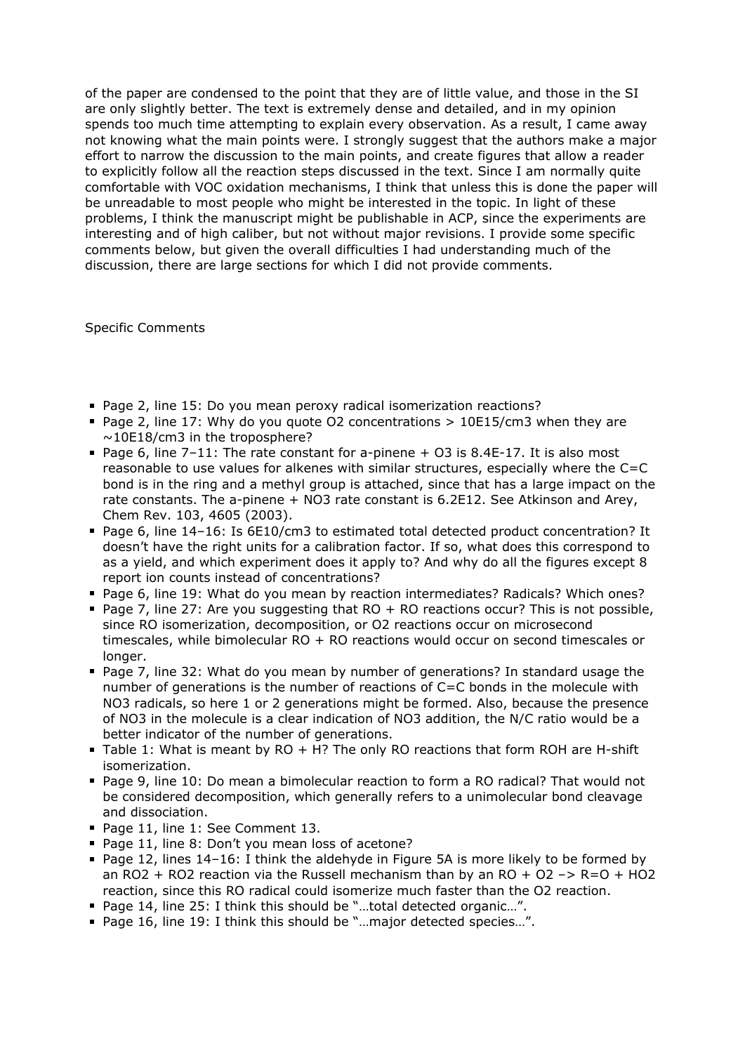of the paper are condensed to the point that they are of little value, and those in the SI are only slightly better. The text is extremely dense and detailed, and in my opinion spends too much time attempting to explain every observation. As a result, I came away not knowing what the main points were. I strongly suggest that the authors make a major effort to narrow the discussion to the main points, and create figures that allow a reader to explicitly follow all the reaction steps discussed in the text. Since I am normally quite comfortable with VOC oxidation mechanisms, I think that unless this is done the paper will be unreadable to most people who might be interested in the topic. In light of these problems, I think the manuscript might be publishable in ACP, since the experiments are interesting and of high caliber, but not without major revisions. I provide some specific comments below, but given the overall difficulties I had understanding much of the discussion, there are large sections for which I did not provide comments.

Specific Comments

- Page 2, line 15: Do you mean peroxy radical isomerization reactions?
- Page 2, line 17: Why do you quote  $O2$  concentrations  $> 10E15/cm3$  when they are  $\sim$ 10E18/cm3 in the troposphere?
- Page 6, line  $7-11$ : The rate constant for a-pinene  $+$  O3 is 8.4E-17. It is also most reasonable to use values for alkenes with similar structures, especially where the C=C bond is in the ring and a methyl group is attached, since that has a large impact on the rate constants. The a-pinene + NO3 rate constant is 6.2E12. See Atkinson and Arey, Chem Rev. 103, 4605 (2003).
- Page 6, line 14-16: Is 6E10/cm3 to estimated total detected product concentration? It doesn't have the right units for a calibration factor. If so, what does this correspond to as a yield, and which experiment does it apply to? And why do all the figures except 8 report ion counts instead of concentrations?
- Page 6, line 19: What do you mean by reaction intermediates? Radicals? Which ones?
- Page 7, line 27: Are you suggesting that  $RO + RO$  reactions occur? This is not possible, since RO isomerization, decomposition, or O2 reactions occur on microsecond timescales, while bimolecular RO + RO reactions would occur on second timescales or longer.
- Page 7, line 32: What do you mean by number of generations? In standard usage the number of generations is the number of reactions of C=C bonds in the molecule with NO3 radicals, so here 1 or 2 generations might be formed. Also, because the presence of NO3 in the molecule is a clear indication of NO3 addition, the N/C ratio would be a better indicator of the number of generations.
- Table 1: What is meant by RO + H? The only RO reactions that form ROH are H-shift isomerization.
- Page 9, line 10: Do mean a bimolecular reaction to form a RO radical? That would not be considered decomposition, which generally refers to a unimolecular bond cleavage and dissociation.
- Page 11, line 1: See Comment 13.
- Page 11, line 8: Don't you mean loss of acetone?
- Page 12, lines 14–16: I think the aldehyde in Figure 5A is more likely to be formed by an RO2 + RO2 reaction via the Russell mechanism than by an RO + O2 -> R=O + HO2 reaction, since this RO radical could isomerize much faster than the O2 reaction.
- Page 14, line 25: I think this should be "...total detected organic...".
- Page 16, line 19: I think this should be "...major detected species...".